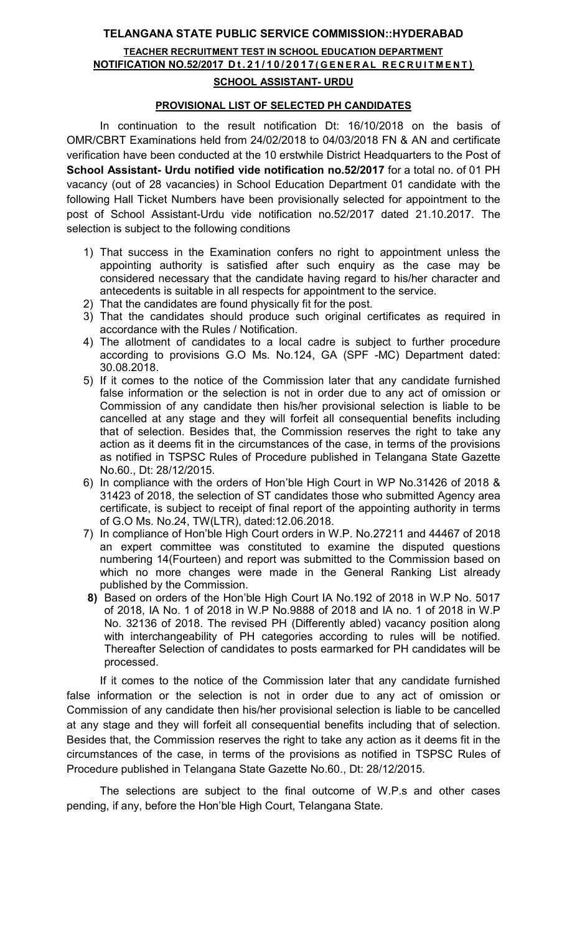# TELANGANA STATE PUBLIC SERVICE COMMISSION::HYDERABAD TEACHER RECRUITMENT TEST IN SCHOOL EDUCATION DEPARTMENT NOTIFICATION NO.52/2017 Dt.21/10/2017 (GENERAL RECRUITMENT) SCHOOL ASSISTANT- URDU

### PROVISIONAL LIST OF SELECTED PH CANDIDATES

In continuation to the result notification Dt: 16/10/2018 on the basis of OMR/CBRT Examinations held from 24/02/2018 to 04/03/2018 FN & AN and certificate verification have been conducted at the 10 erstwhile District Headquarters to the Post of School Assistant- Urdu notified vide notification no.52/2017 for a total no. of 01 PH vacancy (out of 28 vacancies) in School Education Department 01 candidate with the following Hall Ticket Numbers have been provisionally selected for appointment to the post of School Assistant-Urdu vide notification no.52/2017 dated 21.10.2017. The selection is subject to the following conditions

- 1) That success in the Examination confers no right to appointment unless the appointing authority is satisfied after such enquiry as the case may be considered necessary that the candidate having regard to his/her character and antecedents is suitable in all respects for appointment to the service.
- 2) That the candidates are found physically fit for the post.
- 3) That the candidates should produce such original certificates as required in accordance with the Rules / Notification.
- 4) The allotment of candidates to a local cadre is subject to further procedure according to provisions G.O Ms. No.124, GA (SPF -MC) Department dated: 30.08.2018.
- 5) If it comes to the notice of the Commission later that any candidate furnished false information or the selection is not in order due to any act of omission or Commission of any candidate then his/her provisional selection is liable to be cancelled at any stage and they will forfeit all consequential benefits including that of selection. Besides that, the Commission reserves the right to take any action as it deems fit in the circumstances of the case, in terms of the provisions as notified in TSPSC Rules of Procedure published in Telangana State Gazette No.60., Dt: 28/12/2015.
- 6) In compliance with the orders of Hon'ble High Court in WP No.31426 of 2018 & 31423 of 2018, the selection of ST candidates those who submitted Agency area certificate, is subject to receipt of final report of the appointing authority in terms of G.O Ms. No.24, TW(LTR), dated:12.06.2018.
- 7) In compliance of Hon'ble High Court orders in W.P. No.27211 and 44467 of 2018 an expert committee was constituted to examine the disputed questions numbering 14(Fourteen) and report was submitted to the Commission based on which no more changes were made in the General Ranking List already published by the Commission.
- 8) Based on orders of the Hon'ble High Court IA No.192 of 2018 in W.P No. 5017 of 2018, IA No. 1 of 2018 in W.P No.9888 of 2018 and IA no. 1 of 2018 in W.P No. 32136 of 2018. The revised PH (Differently abled) vacancy position along with interchangeability of PH categories according to rules will be notified. Thereafter Selection of candidates to posts earmarked for PH candidates will be processed.

If it comes to the notice of the Commission later that any candidate furnished false information or the selection is not in order due to any act of omission or Commission of any candidate then his/her provisional selection is liable to be cancelled at any stage and they will forfeit all consequential benefits including that of selection. Besides that, the Commission reserves the right to take any action as it deems fit in the circumstances of the case, in terms of the provisions as notified in TSPSC Rules of Procedure published in Telangana State Gazette No.60., Dt: 28/12/2015.

 The selections are subject to the final outcome of W.P.s and other cases pending, if any, before the Hon'ble High Court, Telangana State.